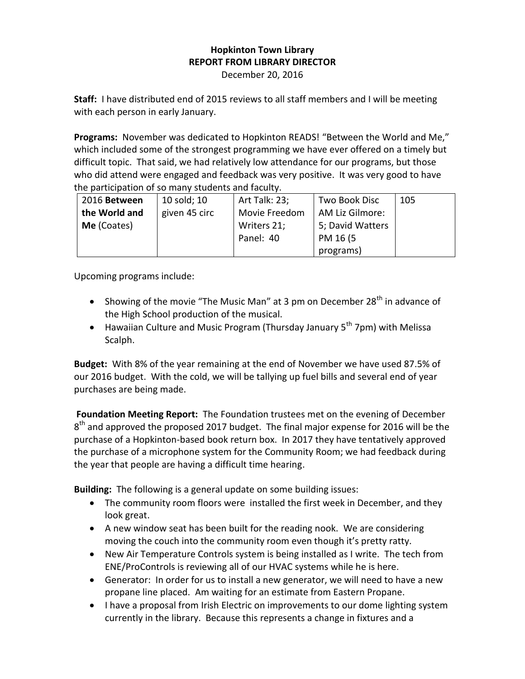## **Hopkinton Town Library REPORT FROM LIBRARY DIRECTOR**

December 20, 2016

**Staff:** I have distributed end of 2015 reviews to all staff members and I will be meeting with each person in early January.

**Programs:** November was dedicated to Hopkinton READS! "Between the World and Me," which included some of the strongest programming we have ever offered on a timely but difficult topic. That said, we had relatively low attendance for our programs, but those who did attend were engaged and feedback was very positive. It was very good to have the participation of so many students and faculty.

| 2016 Between  | 10 sold; 10   | Art Talk: 23; | Two Book Disc    | 105 |
|---------------|---------------|---------------|------------------|-----|
| the World and | given 45 circ | Movie Freedom | AM Liz Gilmore:  |     |
| Me (Coates)   |               | Writers 21;   | 5; David Watters |     |
|               |               | Panel: 40     | PM 16 (5)        |     |
|               |               |               | programs)        |     |

Upcoming programs include:

- Showing of the movie "The Music Man" at 3 pm on December  $28<sup>th</sup>$  in advance of the High School production of the musical.
- **•** Hawaiian Culture and Music Program (Thursday January 5<sup>th</sup> 7pm) with Melissa Scalph.

**Budget:** With 8% of the year remaining at the end of November we have used 87.5% of our 2016 budget. With the cold, we will be tallying up fuel bills and several end of year purchases are being made.

**Foundation Meeting Report:** The Foundation trustees met on the evening of December 8<sup>th</sup> and approved the proposed 2017 budget. The final major expense for 2016 will be the purchase of a Hopkinton-based book return box. In 2017 they have tentatively approved the purchase of a microphone system for the Community Room; we had feedback during the year that people are having a difficult time hearing.

**Building:** The following is a general update on some building issues:

- The community room floors were installed the first week in December, and they look great.
- A new window seat has been built for the reading nook. We are considering moving the couch into the community room even though it's pretty ratty.
- New Air Temperature Controls system is being installed as I write. The tech from ENE/ProControls is reviewing all of our HVAC systems while he is here.
- Generator: In order for us to install a new generator, we will need to have a new propane line placed. Am waiting for an estimate from Eastern Propane.
- I have a proposal from Irish Electric on improvements to our dome lighting system currently in the library. Because this represents a change in fixtures and a